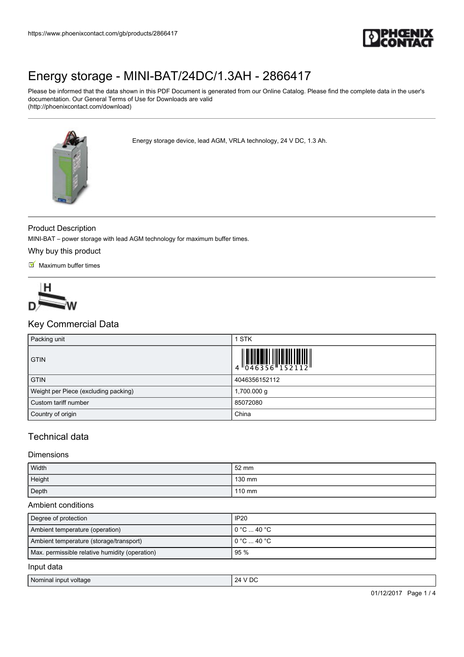

Please be informed that the data shown in this PDF Document is generated from our Online Catalog. Please find the complete data in the user's documentation. Our General Terms of Use for Downloads are valid (http://phoenixcontact.com/download)

Energy storage device, lead AGM, VRLA technology, 24 V DC, 1.3 Ah.



## Product Description

MINI-BAT – power storage with lead AGM technology for maximum buffer times.

Why buy this product

 $M$  Maximum buffer times



## Key Commercial Data

| Packing unit                         | <b>STK</b>                                                                                                |
|--------------------------------------|-----------------------------------------------------------------------------------------------------------|
| <b>GTIN</b>                          | $\begin{array}{c} 1 & 0 & 0 & 0 \\ 0 & 0 & 4 & 6 & 3 & 5 & 6 \\ 0 & 0 & 4 & 6 & 3 & 5 & 6 \\ \end{array}$ |
| <b>GTIN</b>                          | 4046356152112                                                                                             |
| Weight per Piece (excluding packing) | 1,700.000 g                                                                                               |
| Custom tariff number                 | 85072080                                                                                                  |
| Country of origin                    | China                                                                                                     |

## Technical data

## Dimensions

| Width  | 52 mm  |
|--------|--------|
| Height | 130 mm |
| Depth  | 110 mm |

#### Ambient conditions

| Degree of protection                           | IP20                                   |
|------------------------------------------------|----------------------------------------|
| Ambient temperature (operation)                | l 0 °C  40 °C .                        |
| Ambient temperature (storage/transport)        | $10^{\circ}$ C $$ 40 $^{\circ}$ C $^-$ |
| Max. permissible relative humidity (operation) | 95 %                                   |
| Input data                                     |                                        |

| Nomina.<br>` voltag∈<br><b>Input</b> | ΩC<br>74<br>◡<br>$\sim$ |
|--------------------------------------|-------------------------|
|--------------------------------------|-------------------------|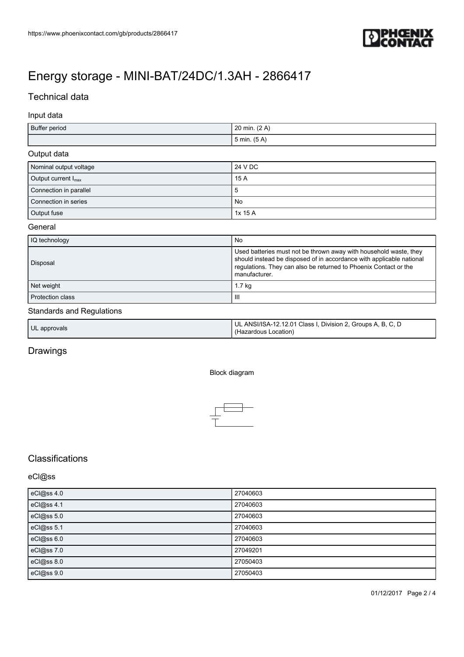

## Technical data

## Input data

| Buffer period | 20 min. (2 A)    |
|---------------|------------------|
|               | $5$ min. $(5 A)$ |

### Output data

| Nominal output voltage          | 24 V DC |
|---------------------------------|---------|
| Output current $I_{\text{max}}$ | 15 A    |
| Connection in parallel          | ১       |
| Connection in series            | No      |
| Output fuse                     | 1x 15 A |

#### **General**

| IQ technology           | <b>No</b>                                                                                                                                                                                                                      |
|-------------------------|--------------------------------------------------------------------------------------------------------------------------------------------------------------------------------------------------------------------------------|
| Disposal                | Used batteries must not be thrown away with household waste, they<br>should instead be disposed of in accordance with applicable national<br>regulations. They can also be returned to Phoenix Contact or the<br>manufacturer. |
| Net weight              | 1.7 kg                                                                                                                                                                                                                         |
| <b>Protection class</b> | Ш                                                                                                                                                                                                                              |

#### Standards and Regulations

| UL approvals | UL ANSI/ISA-12.12.01 Class I, Division 2, Groups A, B, C, D<br>(Hazardous Location) |
|--------------|-------------------------------------------------------------------------------------|
|              |                                                                                     |

## Drawings

#### Block diagram



# **Classifications**

## eCl@ss

| eCl@ss 4.0 | 27040603 |
|------------|----------|
| eCl@ss 4.1 | 27040603 |
| eCl@ss 5.0 | 27040603 |
| eCl@ss 5.1 | 27040603 |
| eCl@ss 6.0 | 27040603 |
| eCl@ss 7.0 | 27049201 |
| eCl@ss 8.0 | 27050403 |
| eCl@ss 9.0 | 27050403 |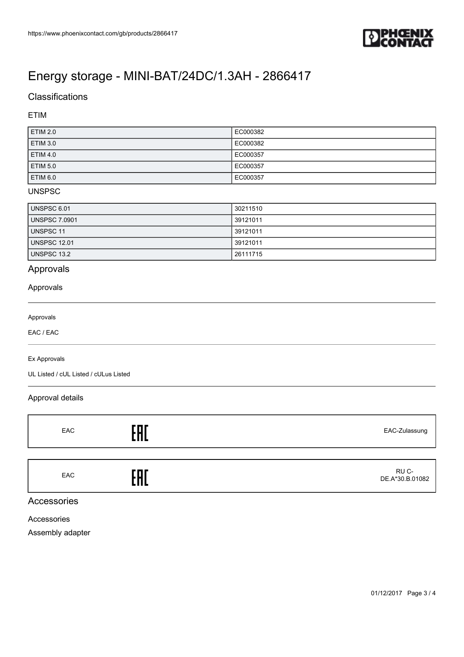

# **Classifications**

## ETIM

| <b>ETIM 2.0</b> | EC000382 |
|-----------------|----------|
| <b>ETIM 3.0</b> | EC000382 |
| <b>ETIM 4.0</b> | EC000357 |
| <b>ETIM 5.0</b> | EC000357 |
| <b>ETIM 6.0</b> | EC000357 |

## UNSPSC

| UNSPSC 6.01          | 30211510 |
|----------------------|----------|
| <b>UNSPSC 7.0901</b> | 39121011 |
| UNSPSC 11            | 39121011 |
| <b>UNSPSC 12.01</b>  | 39121011 |
| UNSPSC 13.2          | 26111715 |

## Approvals

## Approvals

#### Approvals

EAC / EAC

#### Ex Approvals

UL Listed / cUL Listed / cULus Listed

## Approval details

| EAC | r m r | EAC-Zulassung            |
|-----|-------|--------------------------|
|     |       |                          |
| EAC | ' n f | RU C-<br>DE.A*30.B.01082 |

## Accessories

Accessories

Assembly adapter